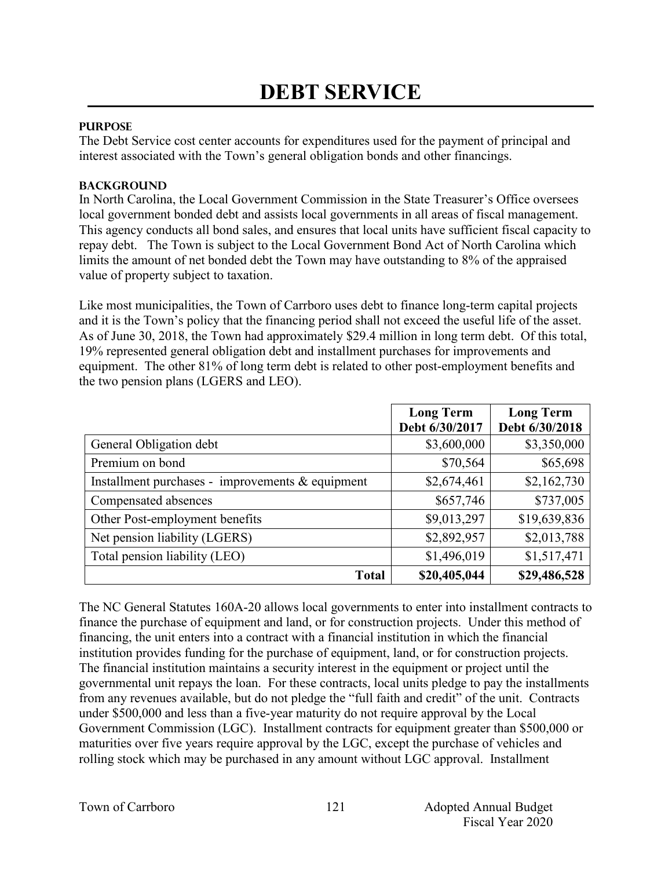## **PURPOSE**

The Debt Service cost center accounts for expenditures used for the payment of principal and interest associated with the Town's general obligation bonds and other financings.

## **BACKGROUND**

In North Carolina, the Local Government Commission in the State Treasurer's Office oversees local government bonded debt and assists local governments in all areas of fiscal management. This agency conducts all bond sales, and ensures that local units have sufficient fiscal capacity to repay debt. The Town is subject to the Local Government Bond Act of North Carolina which limits the amount of net bonded debt the Town may have outstanding to 8% of the appraised value of property subject to taxation.

Like most municipalities, the Town of Carrboro uses debt to finance long-term capital projects and it is the Town's policy that the financing period shall not exceed the useful life of the asset. As of June 30, 2018, the Town had approximately \$29.4 million in long term debt. Of this total, 19% represented general obligation debt and installment purchases for improvements and equipment. The other 81% of long term debt is related to other post-employment benefits and the two pension plans (LGERS and LEO).

|                                                     | <b>Long Term</b><br>Debt 6/30/2017 | <b>Long Term</b><br>Debt 6/30/2018 |
|-----------------------------------------------------|------------------------------------|------------------------------------|
| General Obligation debt                             | \$3,600,000                        | \$3,350,000                        |
| Premium on bond                                     | \$70,564                           | \$65,698                           |
| Installment purchases - improvements $\&$ equipment | \$2,674,461                        | \$2,162,730                        |
| Compensated absences                                | \$657,746                          | \$737,005                          |
| Other Post-employment benefits                      | \$9,013,297                        | \$19,639,836                       |
| Net pension liability (LGERS)                       | \$2,892,957                        | \$2,013,788                        |
| Total pension liability (LEO)                       | \$1,496,019                        | \$1,517,471                        |
| <b>Total</b>                                        | \$20,405,044                       | \$29,486,528                       |

The NC General Statutes 160A-20 allows local governments to enter into installment contracts to finance the purchase of equipment and land, or for construction projects. Under this method of financing, the unit enters into a contract with a financial institution in which the financial institution provides funding for the purchase of equipment, land, or for construction projects. The financial institution maintains a security interest in the equipment or project until the governmental unit repays the loan. For these contracts, local units pledge to pay the installments from any revenues available, but do not pledge the "full faith and credit" of the unit. Contracts under \$500,000 and less than a five-year maturity do not require approval by the Local Government Commission (LGC). Installment contracts for equipment greater than \$500,000 or maturities over five years require approval by the LGC, except the purchase of vehicles and rolling stock which may be purchased in any amount without LGC approval. Installment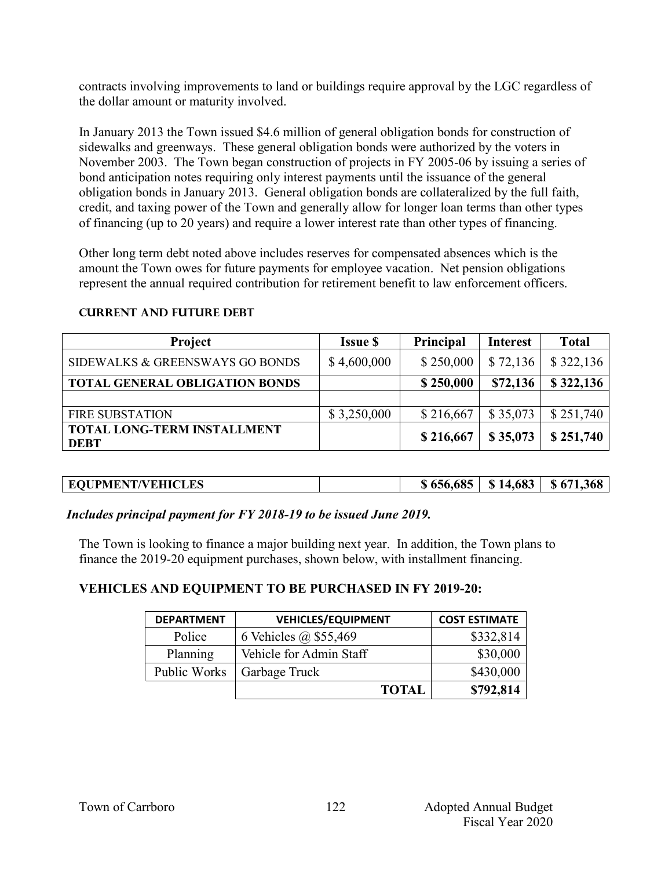contracts involving improvements to land or buildings require approval by the LGC regardless of the dollar amount or maturity involved.

In January 2013 the Town issued \$4.6 million of general obligation bonds for construction of sidewalks and greenways. These general obligation bonds were authorized by the voters in November 2003. The Town began construction of projects in FY 2005-06 by issuing a series of bond anticipation notes requiring only interest payments until the issuance of the general obligation bonds in January 2013. General obligation bonds are collateralized by the full faith, credit, and taxing power of the Town and generally allow for longer loan terms than other types of financing (up to 20 years) and require a lower interest rate than other types of financing.

Other long term debt noted above includes reserves for compensated absences which is the amount the Town owes for future payments for employee vacation. Net pension obligations represent the annual required contribution for retirement benefit to law enforcement officers.

| Project                                           | <b>Issue \$</b> | Principal | <b>Interest</b> | <b>Total</b> |
|---------------------------------------------------|-----------------|-----------|-----------------|--------------|
| SIDEWALKS & GREENSWAYS GO BONDS                   | \$4,600,000     | \$250,000 | \$72,136        | \$322,136    |
| <b>TOTAL GENERAL OBLIGATION BONDS</b>             |                 | \$250,000 | \$72,136        | \$322,136    |
|                                                   |                 |           |                 |              |
| <b>FIRE SUBSTATION</b>                            | \$3,250,000     | \$216,667 | \$35,073        | \$251,740    |
| <b>TOTAL LONG-TERM INSTALLMENT</b><br><b>DEBT</b> |                 | \$216,667 | \$35,073        | \$251,740    |

#### **Current AND FUTURE Debt**

| <b>EQUPMENT/VEHICLES</b> |  | $$656,685 \;   \; $14,683 \;   \; $671,368$ |
|--------------------------|--|---------------------------------------------|

*Includes principal payment for FY 2018-19 to be issued June 2019.*

The Town is looking to finance a major building next year. In addition, the Town plans to finance the 2019-20 equipment purchases, shown below, with installment financing.

# **VEHICLES AND EQUIPMENT TO BE PURCHASED IN FY 2019-20:**

| <b>DEPARTMENT</b>   | <b>VEHICLES/EQUIPMENT</b> | <b>COST ESTIMATE</b> |
|---------------------|---------------------------|----------------------|
| Police              | 6 Vehicles @ \$55,469     | \$332,814            |
| Planning            | Vehicle for Admin Staff   | \$30,000             |
| <b>Public Works</b> | Garbage Truck             | \$430,000            |
|                     | <b>TOTAL</b>              | \$792,814            |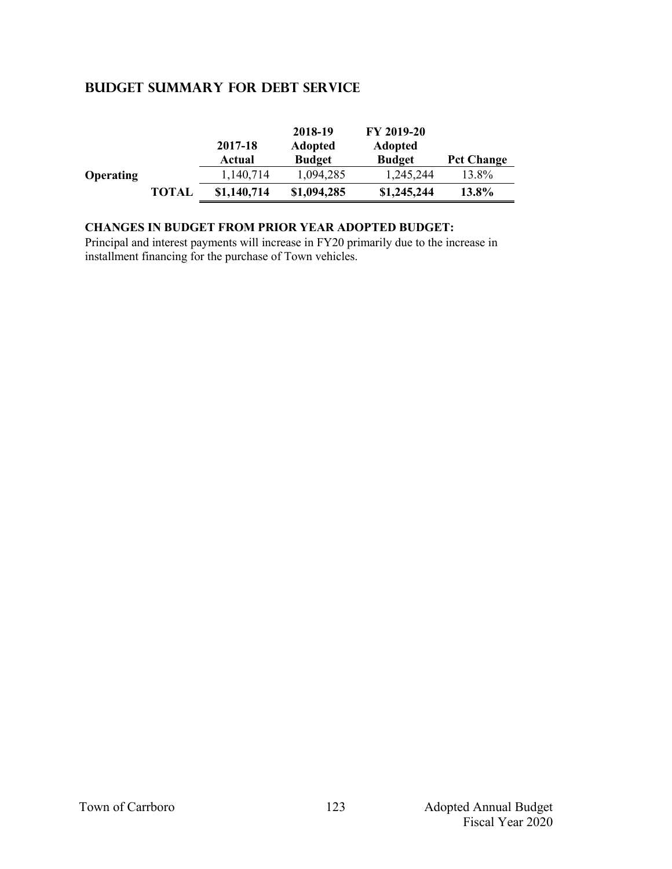# **Budget summary for debt service**

|                  |              | 2017-18<br>Actual | 2018-19<br><b>Adopted</b><br><b>Budget</b> | FY 2019-20<br><b>Adopted</b><br><b>Budget</b> | <b>Pct Change</b> |
|------------------|--------------|-------------------|--------------------------------------------|-----------------------------------------------|-------------------|
| <b>Operating</b> |              | 1,140,714         | 1,094,285                                  | 1,245,244                                     | 13.8%             |
|                  | <b>TOTAL</b> | \$1,140,714       | \$1,094,285                                | \$1,245,244                                   | 13.8%             |

### **CHANGES IN BUDGET FROM PRIOR YEAR ADOPTED BUDGET:**

Principal and interest payments will increase in FY20 primarily due to the increase in installment financing for the purchase of Town vehicles.